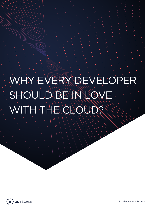# HRY DEVELOPER SHOULD BE IN LOVE  $SU(2)$

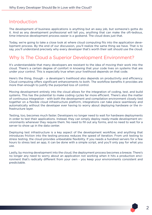## Introduction

The development of business applications is anything but an easy job, but someone's gotta do it. And as any development professional will tell you, anything that can make the oft-tedious, time-intensive development process easier is a godsend. The cloud does just that.

Today, we're going to take a close look at where cloud computing fits into the application development process. By the end of our discussion, you'll realize the same thing we have. That is to say, you'll understand precisely why every developer that's worth their salt should use the cloud.

## Why Is The Cloud a Superior Development Environment?

It's understandable that many developers are resistant to the idea of moving their work into the cloud. There's a certain degree of comfort in knowing that your code lives on systems that are under your control. This is especially true when your livelihood depends on that code.

Here's the thing, though - a developer's livelihood also depends on productivity and efficiency. Cloud computing offers significant enhancements to both. The workflow benefits it provides are more than enough to justify the purported loss of control.

Moving development entirely into the cloud allows for the integration of coding, test, and build systems. This has the potential to make coding cycles far more efficient. There's also the matter of continuous integration - with both the development and compilation environment closely tied together on a flexible cloud infrastructure platform, integrations can take place seamlessly and automatically without the developer ever having to worry about deploying hardware or the infrastructure layer.

Testing, too, becomes much faster. Developers no longer need to wait for hardware deployments in order to test their applications. Instead, they can simply deploy ready-made development environments whenever they require them. No need to fill out any forms, and no need to wait for a server to show up in the data center.

Deploying test infrastructure is a key aspect of the development workflow, and anything that introduces friction into the testing process reduces the speed of iteration. From unit testing to stress testing, the cloud provides unbeatable flexibility. If you needs a hundred servers for a few hours to stress test an app, it can be done with a simple script, and you'll only pay for what you use.

Lastly, by moving development into the cloud, the deployment process becomes a breeze. There's no longer any need to worry about an application not working when it hits a production environment that's radically different from your own - you keep your environments consistent and predictable.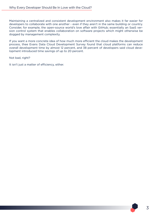Maintaining a centralized and consistent development environment also makes it far easier for developers to collaborate with one another - even if they aren't in the same building or country. Consider, for example, the open-source world's love affair with GitHub; essentially an SaaS version control system that enables collaboration on software projects which might otherwise be dogged by management complexity.

If you want a more concrete idea of how much more efficient the cloud makes the development process, thee Evans Data Cloud Development Survey found that cloud platforms can reduce overall development time by almost 12 percent, and 38 percent of developers said cloud development introduced time savings of up to 20 percent.

Not bad, right?

It isn't just a matter of efficiency, either.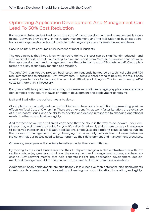# Optimizing Application Development And Management Can Lead To 50% Cost Reduction

For modern IT-dependent businesses, the cost of cloud development and management is significant. Between provisioning, infrastructure management, and the facilitation of business operations, one's organization is bound to chafe under large capital and operational expenditures.

Case in point: ADM consumes 34% percent of most IT budgets.

The good news is that if you know what you're doing, this cost can be significantly reduced - and with minimal effort, at that. According to a recent report from Gartner, businesses that optimize their app development and management have the potential to cut ADM costs in half. Cloud platforms are a key technology for such optimization.

Though ADM is an iterative process, businesses are frequently hampered by technical debt and ROI requirements tied to historical ADM investments. IT lifecycle phases tend to be slow, the result of an unwillingness to move forward and the technical difficulties of doing so. This in turn drives up ADM costs far more than is necessary.

For greater efficiency and reduced costs, businesses must eliminate legacy applications and abandon complex architecture in favor of modern development and deployment paradigms.

IaaS and SaaS offer the perfect means to do so.

Cloud platforms naturally reduce up-front infrastructure costs, in addition to presenting positive effects on Total Cost of Ownership. There are other benefits, as well - faster iteration, the avoidance of future legacy issues, and the ability to develop and deploy in response to changing operational needs. In other words, business agility.

And for those of you who still aren't convinced that the cloud is the way to go, beware - your employees may well make the choice for you. It's called Shadow IT, and its here to stay - in response to perceived inefficiencies in legacy applications, employees are adopting cloud solutions outside the purview of management. Clearly damaging from a security perspective, but nevertheless an indication that businesses need to better optimize their development and management processes.

Otherwise, employees will look for alternatives under their own initiative.

By moving to the cloud, businesses and their IT department gain scalable infrastructure with low capital costs, enjoy greater control over the deployment and management process, and have access to ADM-relevant metrics that help generate insight into application development, deployment, and management. All of this can, in turn, be used to further streamline operations.

Additionally, SaaS deployments are significantly less expensive than enterprise-size deployments in in-house data centers and office desktops, lowering the cost of iteration, innovation, and agility.

4